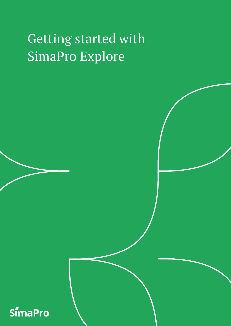# Getting started with SimaPro Explore

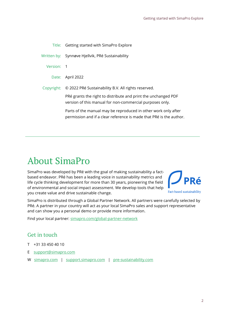|            | Title: Getting started with SimaPro Explore                                                                                           |
|------------|---------------------------------------------------------------------------------------------------------------------------------------|
|            | Written by: Synnøve Hjellvik, PRé Sustainability                                                                                      |
| Version: 1 |                                                                                                                                       |
|            | Date: April 2022                                                                                                                      |
| Copyright: | © 2022 PRé Sustainability B.V. All rights reserved.                                                                                   |
|            | PRé grants the right to distribute and print the unchanged PDF<br>version of this manual for non-commercial purposes only.            |
|            | Parts of the manual may be reproduced in other work only after<br>permission and if a clear reference is made that PRé is the author. |
|            |                                                                                                                                       |

# About SimaPro

SimaPro was developed by PRé with the goal of making sustainability a factbased endeavor. PRé has been a leading voice in sustainability metrics and life cycle thinking development for more than 30 years, pioneering the field of environmental and social impact assessment. We develop tools that help you create value and drive sustainable change.



SimaPro is distributed through a Global Partner Network. All partners were carefully selected by PRé. A partner in your country will act as your local SimaPro sales and support representative and can show you a personal demo or provide more information.

Find your local partner: [simapro.com/global-partner-network](https://simapro.com/global-partner-network/)

### Get in touch

- T +31 33 450 40 10
- E [support@simapro.com](mailto:support@pre-sustainability.com)
- W [simapro.com](http://www.simapro.com/) | support.simapro.com | [pre-sustainability.com](http://www.pre-sustainability.com/)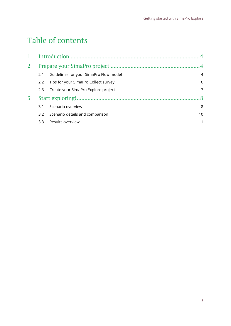# Table of contents

| $\overline{4}$   |                                        |                                      |  |  |
|------------------|----------------------------------------|--------------------------------------|--|--|
|                  |                                        |                                      |  |  |
| 2.1              | Guidelines for your SimaPro Flow model | $\overline{4}$                       |  |  |
| $2.2\phantom{0}$ |                                        | 6                                    |  |  |
| 2.3              | Create your SimaPro Explore project    | 7                                    |  |  |
|                  |                                        |                                      |  |  |
| 3.1              | Scenario overview                      | 8                                    |  |  |
| 3.2              | Scenario details and comparison        | 10                                   |  |  |
| 3.3              | Results overview                       | 11                                   |  |  |
|                  |                                        | Tips for your SimaPro Collect survey |  |  |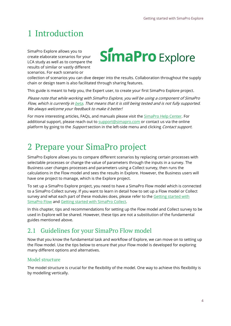# <span id="page-3-0"></span>1 Introduction

SimaPro Explore allows you to create elaborate scenarios for your LCA study as well as to compare the results of similar or vastly different scenarios. For each scenario or

# **SimaPro** Explore

collection of scenarios you can dive deeper into the results. Collaboration throughout the supply chain or design team is also facilitated through sharing features.

This guide is meant to help you, the Expert user, to create your first SimaPro Explore project.

Please note that while working with SimaPro Explore, you will be using a component of SimaPro Flow, which is currently in **[beta.](https://support.simapro.com/articles/Article/Beta/) That means that it is still being tested and is not fully supported.** We always welcome your feedback to make it better!

For more interesting articles, FAQs, and manuals please visit the **SimaPro Help Center**. For additional support, please reach out to [support@simapro.com](mailto:support@simapro.com) or contact us via the online platform by going to the *Support* section in the left-side menu and clicking *Contact support*.

# <span id="page-3-1"></span>2 Prepare your SimaPro project

SimaPro Explore allows you to compare different scenarios by replacing certain processes with selectable processes or change the value of parameters through the inputs in a survey. The Business user changes processes and parameters using a Collect survey, then runs the calculations in the Flow model and sees the results in Explore. However, the Business users will have one project to manage, which is the Explore project.

To set up a SimaPro Explore project, you need to have a SimaPro Flow model which is connected to a SimaPro Collect survey. If you want to learn in detail how to set up a Flow model or Collect survey and what each part of these modules does, please refer to the Getting started with [SimaPro Flow](https://support.simapro.com/articles/Manual/Getting-Started-with-SimaPro-Flow/) and [Getting started with](https://support.simapro.com/articles/Manual/Getting-started-with-Collect-Introduction/) SimaPro Collect.

In this chapter, tips and recommendations for setting up the Flow model and Collect survey to be used in Explore will be shared. However, these tips are not a substitution of the fundamental guides mentioned above.

### <span id="page-3-2"></span>2.1 Guidelines for your SimaPro Flow model

Now that you know the fundamental task and workflow of Explore, we can move on to setting up the Flow model. Use the tips below to ensure that your Flow model is developed for exploring many different options and alternatives.

### Model structure

The model structure is crucial for the flexibility of the model. One way to achieve this flexibility is by modelling vertically.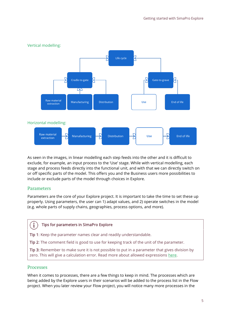

As seen in the images, in linear modelling each step feeds into the other and it is difficult to exclude, for example, an input process to the 'Use' stage. While with vertical modelling, each stage and process feeds directly into the functional unit, and with that we can directly switch on or off specific parts of the model. This offers you and the Business users more possibilities to include or exclude parts of the model through choices in Explore.

### Parameters

Parameters are the core of your Explore project. It is important to take the time to set these up properly. Using parameters, the user can 1) adapt values, and 2) operate switches in the model (e.g. whole parts of supply chains, geographies, process options, and more).

#### i. Tips for parameters in SimaPro Explore

Tip 1: Keep the parameter names clear and readily understandable.

Tip 2: The comment field is good to use for keeping track of the unit of the parameter.

Tip 3: Remember to make sure it is not possible to put in a parameter that gives division by zero. This will give a calculation error. Read more about allowed expressions [here.](https://support.simapro.com/articles/FAQ/Which-expressions-can-I-use-in-value-fields/)

### Processes

When it comes to processes, there are a few things to keep in mind. The processes which are being added by the Explore users in their scenarios will be added to the process list in the Flow project. When you later review your Flow project, you will notice many more processes in the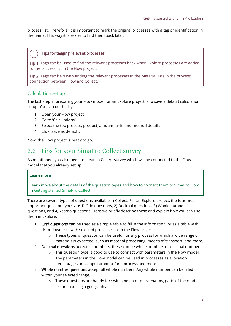process list. Therefore, it is important to mark the original processes with a tag or identification in the name. This way it is easier to find them back later.

#### j. Tips for tagging relevant processes

Tip 1: Tags can be used to find the relevant processes back when Explore processes are added to the process list in the Flow project.

Tip 2: Tags can help with finding the relevant processes in the Material lists in the process connection between Flow and Collect.

### Calculation set up

The last step in preparing your Flow model for an Explore project is to save a default calculation setup. You can do this by:

- 1. Open your Flow project
- 2. Go to 'Calculations'
- 3. Select the top process, product, amount, unit, and method details.
- 4. Click 'Save as default'.

Now, the Flow project is ready to go.

### <span id="page-5-0"></span>2.2 Tips for your SimaPro Collect survey

As mentioned, you also need to create a Collect survey which will be connected to the Flow model that you already set up.

### Learn more

Learn more about the details of the question types and how to connect them to SimaPro Flow in [Getting started SimaPro Collect.](https://support.simapro.com/articles/Manual/Getting-started-with-Collect-Introduction/)

There are several types of questions available in Collect. For an Explore project, the four most important question types are 1) Grid questions, 2) Decimal questions, 3) Whole number questions, and 4) Yes/no questions. Here we briefly describe these and explain how you can use them in Explore:

- 1. Grid questions can be used as a simple table to fill in the information, or as a table with drop-down lists with selected processes from the Flow project.
	- $\circ$  These types of question can be useful for any process for which a wide range of materials is expected, such as material processing, modes of transport, and more.
- 2. Decimal questions accept all numbers, these can be whole numbers or decimal numbers.
	- o This question type is good to use to connect with parameters in the Flow model. The parameters in the Flow model can be used in processes as allocation percentages or as input amount for a process and more.
- 3. Whole number questions accept all whole numbers. Any whole number can be filled in within your selected range.
	- $\circ$  These questions are handy for switching on or off scenarios, parts of the model, or for choosing a geography.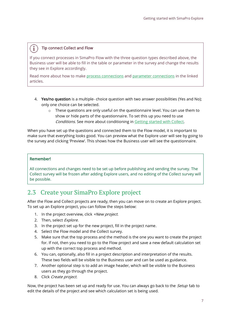#### i. Tip connect Collect and Flow

If you connect processes in SimaPro Flow with the three question types described above, the Business user will be able to fill in the table or parameter in the survey and change the results they see in Explore accordingly.

Read more about how to make [process connections](https://support.simapro.com/articles/How_to/How-do-I-connect-a-Process-to-Collect/) an[d parameter connections](https://support.simapro.com/articles/How_to/How-do-I-connect-parameters-to-Collect/) in the linked articles.

- 4. Yes/no question is a multiple- choice question with two answer possibilities (Yes and No); only one choice can be selected.
	- $\circ$  These questions are only useful on the questionnaire level. You can use them to show or hide parts of the questionnaire. To set this up you need to use Conditions. See more about conditioning in [Getting started with Collect.](https://support.simapro.com/articles/Manual/Getting-started-with-Collect-Introduction/)

When you have set up the questions and connected them to the Flow model, it is important to make sure that everything looks good. You can preview what the Explore user will see by going to the survey and clicking 'Preview'. This shows how the Business user will see the questionnaire.

### Remember!

All connections and changes need to be set up before publishing and sending the survey. The Collect survey will be frozen after adding Explore users, and no editing of the Collect survey will be possible.

### <span id="page-6-0"></span>2.3 Create your SimaPro Explore project

After the Flow and Collect projects are ready, then you can move on to create an Explore project. To set up an Explore project, you can follow the steps below:

- 1. In the project overview, click +New project.
- 2. Then, select Explore.
- 3. In the project set up for the new project, fill in the project name.
- 4. Select the Flow model and the Collect survey.
- 5. Make sure that the top process and the method is the one you want to create the project for. If not, then you need to go to the Flow project and save a new default calculation set up with the correct top process and method.
- 6. You can, optionally, also fill in a project description and interpretation of the results. These two fields will be visible to the Business user and can be used as guidance.
- 7. Another optional step is to add an image header, which will be visible to the Business users as they go through the project.
- 8. Click Create project.

Now, the project has been set up and ready for use. You can always go back to the *Setup* tab to edit the details of the project and see which calculation set is being used.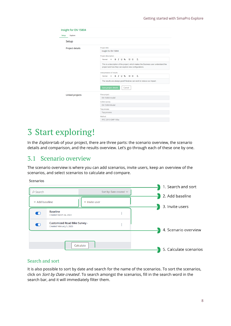| <b>Project details</b> | Project title                                                                                                                              |
|------------------------|--------------------------------------------------------------------------------------------------------------------------------------------|
|                        | Insight for EN 15804                                                                                                                       |
|                        | Project description                                                                                                                        |
|                        | B $I \cup \mathcal{C}$ $\equiv \equiv I_x$<br>Normal<br>$\div$                                                                             |
|                        | This is a description of the project, which makes the Business user understand the<br>project and how they can explore new configurations. |
|                        | Interpretation of results                                                                                                                  |
|                        | $T_{\rm w}$<br><b>B J U % 注注</b><br>Normal<br>$\div$                                                                                       |
|                        | The results are always good! Now we can work to reduce our impact.                                                                         |
|                        | Save project details<br>Cancel                                                                                                             |
| Linked projects        | Flow project                                                                                                                               |
|                        | <b>EN 15804 model</b>                                                                                                                      |
|                        | Collect survey                                                                                                                             |
|                        | <b>EN 15804 Model</b>                                                                                                                      |
|                        | <b>Top process</b>                                                                                                                         |
|                        | Top process                                                                                                                                |

## <span id="page-7-0"></span>3 Start exploring!

In the  $Explore$  tab of your project, there are three parts: the scenario overview, the scenario details and comparison, and the results overview. Let's go through each of these one by one.

### <span id="page-7-1"></span>3.1 Scenario overview

The scenario overview is where you can add scenarios, invite users, keep an overview of the scenarios, and select scenarios to calculate and compare.

**Scenarios** 

| $Q$ Search     |                                                           | Sort by: Date created $\vee$ | 1. Search and sort     |
|----------------|-----------------------------------------------------------|------------------------------|------------------------|
| + Add baseline |                                                           | + Invite user                | 2. Add baseline        |
| $\bullet$      | <b>Baseline</b><br>Created March 24, 2022                 | ÷                            | 3. Invite users        |
| $\bullet$      | Customized Road Bike Survey -<br>Created February 5, 2020 | ÷                            | 4. Scenario overview   |
|                | Calculate                                                 |                              | 5. Calculate scenarios |

### Search and sort

It is also possible to sort by date and search for the name of the scenarios. To sort the scenarios, click on Sort by Date created. To search amongst the scenarios, fill in the search word in the search bar, and it will immediately filter them.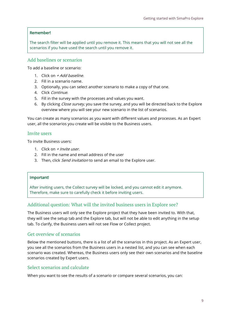### Remember!

The search filter will be applied until you remove it. This means that you will not see all the scenarios if you have used the search until you remove it.

### Add baselines or scenarios

To add a baseline or scenario:

- 1. Click on  $\pm$  Add baseline.
- 2. Fill in a scenario name.
- 3. Optionally, you can select another scenario to make a copy of that one.
- 4. Click Continue.
- 5. Fill in the survey with the processes and values you want.
- 6. By clicking *Close survey*, you save the survey, and you will be directed back to the Explore overview where you will see your new scenario in the list of scenarios.

You can create as many scenarios as you want with different values and processes. As an Expert user, all the scenarios you create will be visible to the Business users.

### Invite users

To invite Business users:

- 1. Click on  $+$  *Invite user.*
- 2. Fill in the name and email address of the user
- 3. Then, click *Send invitation* to send an email to the Explore user.

### Important!

After inviting users, the Collect survey will be locked, and you cannot edit it anymore. Therefore, make sure to carefully check it before inviting users.

### Additional question: What will the invited business users in Explore see?

The Business users will only see the Explore project that they have been invited to. With that, they will see the setup tab and the Explore tab, but will not be able to edit anything in the setup tab. To clarify, the Business users will not see Flow or Collect project.

### Get overview of scenarios

Below the mentioned buttons, there is a list of all the scenarios in this project. As an Expert user, you see all the scenarios from the Business users in a nested list, and you can see when each scenario was created. Whereas, the Business users only see their own scenarios and the baseline scenarios created by Expert users.

### Select scenarios and calculate

When you want to see the results of a scenario or compare several scenarios, you can: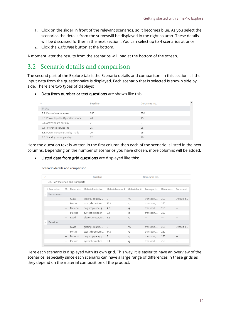- 1. Click on the slider in front of the relevant scenarios, so it becomes blue. As you select the scenarios the details from the surveywill be displayed in the right column. These details will be discussed further in the next section,. You can select up to 4 scenarios at once.
- 2. Click the *Calculate* button at the bottom.

A moment later the results from the scenarios will load at the bottom of the screen.

### <span id="page-9-0"></span>3.2 Scenario details and comparison

The second part of the Explore tab is the Scenario details and comparison. In this section, all the input data from the questionnaire is displayed. Each scenario that is selected is shown side by side. There are two types of displays:

• Data from number or text questions are shown like this:

| $\checkmark$                       | <b>Baseline</b> | Dororama Inc. | $\blacktriangle$ |
|------------------------------------|-----------------|---------------|------------------|
| $\vee$ 5. Use                      |                 |               |                  |
| 5.2. Days of use in a year         | 350             | 350           |                  |
| 5.3. Power input in Operation mode | 40              | 45            |                  |
| 5.4. Active hours per day          |                 | 5             |                  |
| 5.1 Reference service life         | 25              | 25            |                  |
| 5.5. Power input in Standby mode   | 20              | 25            |                  |
| 5.6. Standby hours per day         | 22              | 19            |                  |

Here the question text is written in the first column then each of the scenario is listed in the next columns. Depending on the number of scenarios you have chosen, more columns will be added.

• Listed data from grid questions are displayed like this:

| $\checkmark$ | <b>Baseline</b>                          |                   |          | Dororama Inc.          |                               |                |            |          |           |
|--------------|------------------------------------------|-------------------|----------|------------------------|-------------------------------|----------------|------------|----------|-----------|
|              | $\vee$ 3.6. Raw materials and transports |                   |          |                        |                               |                |            |          |           |
|              |                                          |                   |          |                        |                               |                |            |          |           |
|              | $\geq$ Scenarios                         | M                 | Material | Material selection     | Material amount Material unit |                | Transport  | Distance | Comment   |
| $\checkmark$ | Dororama                                 |                   |          |                        |                               |                |            |          |           |
|              |                                          |                   | Glass    | glazing, double,  6    |                               | m <sub>2</sub> | transport, | 260      | Default d |
|              |                                          |                   | Metals   | steel, chromium  13.6  |                               | kg             | transport, | 260      |           |
|              |                                          |                   | Material | polypropylene, g 4.8   |                               | kg             | transport, | 260      |           |
|              |                                          |                   | Plastics | synthetic rubber       | 0.4                           | kg             | transport, | 260      |           |
|              |                                          |                   | Road     | electric motor, fo 1.2 |                               | kg             |            |          |           |
|              | Baseline                                 |                   |          |                        |                               |                |            |          |           |
|              |                                          |                   | Glass    | glazing, double,  5    |                               | m <sub>2</sub> | transport, | 260      | Default d |
|              |                                          |                   | Metals   | steel, chromium  14.6  |                               | kg             | transport, | 260      |           |
|              |                                          | $\qquad \qquad -$ | Material | polypropylene, g 5     |                               | kg             | transport, | 260      |           |
|              |                                          |                   | Plastics | synthetic rubber       | 0.4                           | kg             | transport, | 260      |           |
|              |                                          |                   |          |                        |                               |                |            |          |           |

Here each scenario is displayed with its own grid. This way, it is easier to have an overview of the scenarios, especially since each scenario can have a large range of differences in these grids as they depend on the material composition of the product.

#### Scenario details and comparison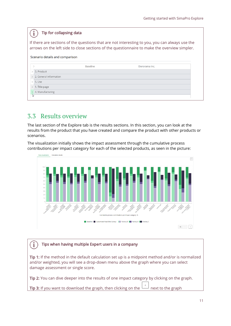#### Tip for collapsing data  $\mathbf i$

If there are sections of the questions that are not interesting to you, you can always use the arrows on the left side to close sections of the questionnaire to make the overview simpler.

| Scenario details and comparison |                          |                 |               |  |  |  |
|---------------------------------|--------------------------|-----------------|---------------|--|--|--|
|                                 |                          | <b>Baseline</b> | Dororama Inc. |  |  |  |
|                                 | $> 3.$ Product           |                 |               |  |  |  |
|                                 | > 2. General information |                 |               |  |  |  |
|                                 | $> 5.$ Use               |                 |               |  |  |  |
|                                 | > 1. Title page          |                 |               |  |  |  |
|                                 | > 4. Manufacturing       |                 |               |  |  |  |
| rz,                             |                          |                 |               |  |  |  |

### <span id="page-10-0"></span>3.3 Results overview

The last section of the Explore tab is the results sections. In this section, you can look at the results from the product that you have created and compare the product with other products or scenarios.

The visualization initially shows the impact assessment through the cumulative process contributions per impact category for each of the selected products, as seen in the picture:



#### $\mathbf{i}$ Tips when having multiple Expert users in a company

Tip 1: If the method in the default calculation set up is a midpoint method and/or is normalized and/or weighted, you will see a drop-down menu above the graph where you can select damage assessment or single score.

Tip 2: You can dive deeper into the results of one impact category by clicking on the graph.

**Tip 3:** If you want to download the graph, then clicking on the  $\begin{bmatrix} 1 & 1 \\ 1 & 1 \end{bmatrix}$  next to the graph